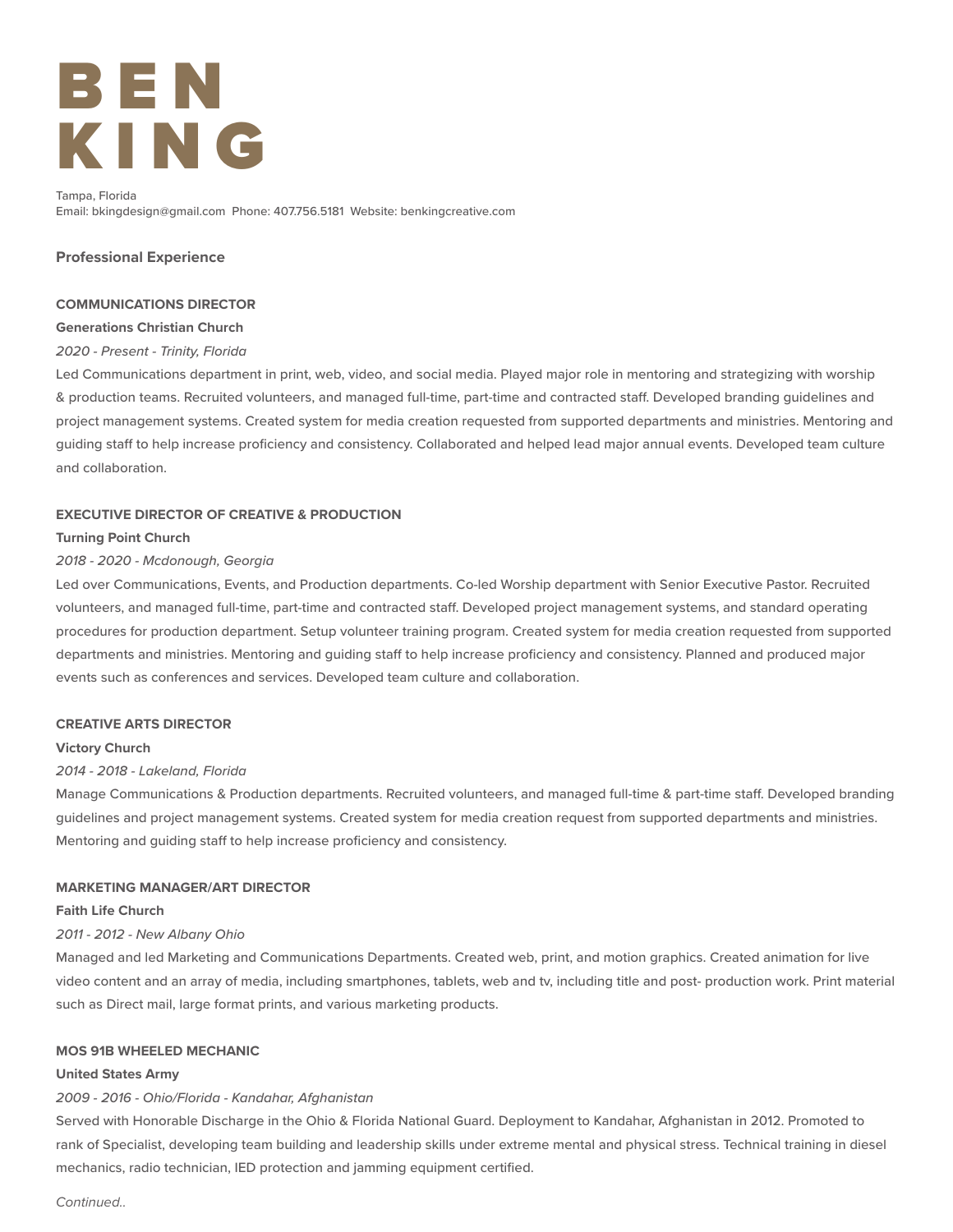# B E N KING

Tampa, Florida Email: bkingdesign@gmail.com Phone: 407.756.5181 Website: benkingcreative.com

## **Professional Experience**

## **COMMUNICATIONS DIRECTOR**

## **Generations Christian Church**

## *2020 - Present - Trinity, Florida*

Led Communications department in print, web, video, and social media. Played major role in mentoring and strategizing with worship & production teams. Recruited volunteers, and managed full-time, part-time and contracted staff. Developed branding guidelines and project management systems. Created system for media creation requested from supported departments and ministries. Mentoring and guiding staff to help increase proficiency and consistency. Collaborated and helped lead major annual events. Developed team culture and collaboration.

## **EXECUTIVE DIRECTOR OF CREATIVE & PRODUCTION**

#### **Turning Point Church**

## *2018 - 2020 - Mcdonough, Georgia*

Led over Communications, Events, and Production departments. Co-led Worship department with Senior Executive Pastor. Recruited volunteers, and managed full-time, part-time and contracted staff. Developed project management systems, and standard operating procedures for production department. Setup volunteer training program. Created system for media creation requested from supported departments and ministries. Mentoring and guiding staff to help increase proficiency and consistency. Planned and produced major events such as conferences and services. Developed team culture and collaboration.

#### **CREATIVE ARTS DIRECTOR**

#### **Victory Church**

#### *2014 - 2018 - Lakeland, Florida*

Manage Communications & Production departments. Recruited volunteers, and managed full-time & part-time staff. Developed branding guidelines and project management systems. Created system for media creation request from supported departments and ministries. Mentoring and guiding staff to help increase proficiency and consistency.

#### **MARKETING MANAGER/ART DIRECTOR**

#### **Faith Life Church**

#### *2011 - 2012 - New Albany Ohio*

Managed and led Marketing and Communications Departments. Created web, print, and motion graphics. Created animation for live video content and an array of media, including smartphones, tablets, web and tv, including title and post- production work. Print material such as Direct mail, large format prints, and various marketing products.

#### **MOS 91B WHEELED MECHANIC**

#### **United States Army**

## *2009 - 2016 - Ohio/Florida - Kandahar, Afghanistan*

Served with Honorable Discharge in the Ohio & Florida National Guard. Deployment to Kandahar, Afghanistan in 2012. Promoted to rank of Specialist, developing team building and leadership skills under extreme mental and physical stress. Technical training in diesel mechanics, radio technician, IED protection and jamming equipment certified.

*Continued..*